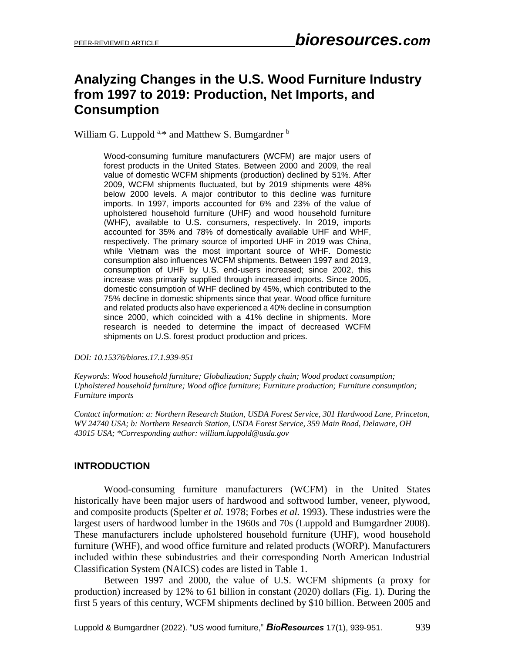# **Analyzing Changes in the U.S. Wood Furniture Industry from 1997 to 2019: Production, Net Imports, and Consumption**

William G. Luppold <sup>a,\*</sup> and Matthew S. Bumgardner <sup>b</sup>

Wood-consuming furniture manufacturers (WCFM) are major users of forest products in the United States. Between 2000 and 2009, the real value of domestic WCFM shipments (production) declined by 51%. After 2009, WCFM shipments fluctuated, but by 2019 shipments were 48% below 2000 levels. A major contributor to this decline was furniture imports. In 1997, imports accounted for 6% and 23% of the value of upholstered household furniture (UHF) and wood household furniture (WHF), available to U.S. consumers, respectively. In 2019, imports accounted for 35% and 78% of domestically available UHF and WHF, respectively. The primary source of imported UHF in 2019 was China, while Vietnam was the most important source of WHF. Domestic consumption also influences WCFM shipments. Between 1997 and 2019, consumption of UHF by U.S. end-users increased; since 2002, this increase was primarily supplied through increased imports. Since 2005, domestic consumption of WHF declined by 45%, which contributed to the 75% decline in domestic shipments since that year. Wood office furniture and related products also have experienced a 40% decline in consumption since 2000, which coincided with a 41% decline in shipments. More research is needed to determine the impact of decreased WCFM shipments on U.S. forest product production and prices.

*DOI: 10.15376/biores.17.1.939-951*

*Keywords: Wood household furniture; Globalization; Supply chain; Wood product consumption; Upholstered household furniture; Wood office furniture; Furniture production; Furniture consumption; Furniture imports*

*Contact information: a: Northern Research Station, USDA Forest Service, 301 Hardwood Lane, Princeton, WV 24740 USA; b: Northern Research Station, USDA Forest Service, 359 Main Road, Delaware, OH 43015 USA; \*Corresponding author: william.luppold@usda.gov*

## **INTRODUCTION**

Wood-consuming furniture manufacturers (WCFM) in the United States historically have been major users of hardwood and softwood lumber, veneer, plywood, and composite products (Spelter *et al.* 1978; Forbes *et al.* 1993). These industries were the largest users of hardwood lumber in the 1960s and 70s (Luppold and Bumgardner 2008). These manufacturers include upholstered household furniture (UHF), wood household furniture (WHF), and wood office furniture and related products (WORP). Manufacturers included within these subindustries and their corresponding North American Industrial Classification System (NAICS) codes are listed in Table 1.

Between 1997 and 2000, the value of U.S. WCFM shipments (a proxy for production) increased by 12% to 61 billion in constant (2020) dollars (Fig. 1). During the first 5 years of this century, WCFM shipments declined by \$10 billion. Between 2005 and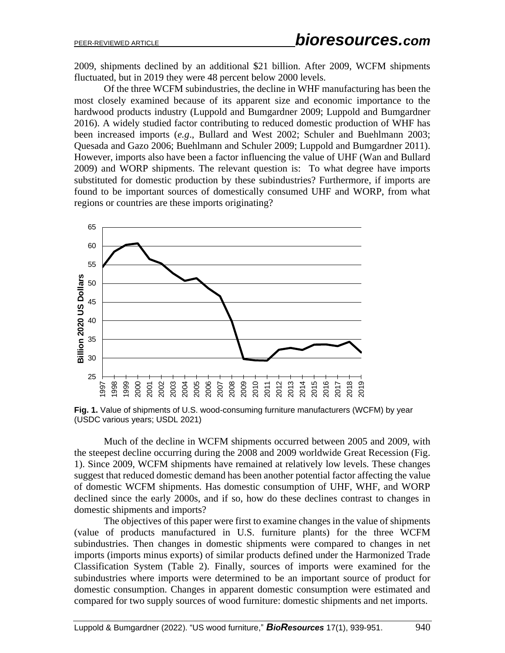2009, shipments declined by an additional \$21 billion. After 2009, WCFM shipments fluctuated, but in 2019 they were 48 percent below 2000 levels.

Of the three WCFM subindustries, the decline in WHF manufacturing has been the most closely examined because of its apparent size and economic importance to the hardwood products industry (Luppold and Bumgardner 2009; Luppold and Bumgardner 2016). A widely studied factor contributing to reduced domestic production of WHF has been increased imports (*e.g*., Bullard and West 2002; Schuler and Buehlmann 2003; Quesada and Gazo 2006; Buehlmann and Schuler 2009; Luppold and Bumgardner 2011). However, imports also have been a factor influencing the value of UHF (Wan and Bullard 2009) and WORP shipments. The relevant question is: To what degree have imports substituted for domestic production by these subindustries? Furthermore, if imports are found to be important sources of domestically consumed UHF and WORP, from what regions or countries are these imports originating?



**Fig. 1.** Value of shipments of U.S. wood-consuming furniture manufacturers (WCFM) by year (USDC various years; USDL 2021)

Much of the decline in WCFM shipments occurred between 2005 and 2009, with the steepest decline occurring during the 2008 and 2009 worldwide Great Recession (Fig. 1). Since 2009, WCFM shipments have remained at relatively low levels. These changes suggest that reduced domestic demand has been another potential factor affecting the value of domestic WCFM shipments. Has domestic consumption of UHF, WHF, and WORP declined since the early 2000s, and if so, how do these declines contrast to changes in domestic shipments and imports?

The objectives of this paper were first to examine changes in the value of shipments (value of products manufactured in U.S. furniture plants) for the three WCFM subindustries. Then changes in domestic shipments were compared to changes in net imports (imports minus exports) of similar products defined under the Harmonized Trade Classification System (Table 2). Finally, sources of imports were examined for the subindustries where imports were determined to be an important source of product for domestic consumption. Changes in apparent domestic consumption were estimated and compared for two supply sources of wood furniture: domestic shipments and net imports.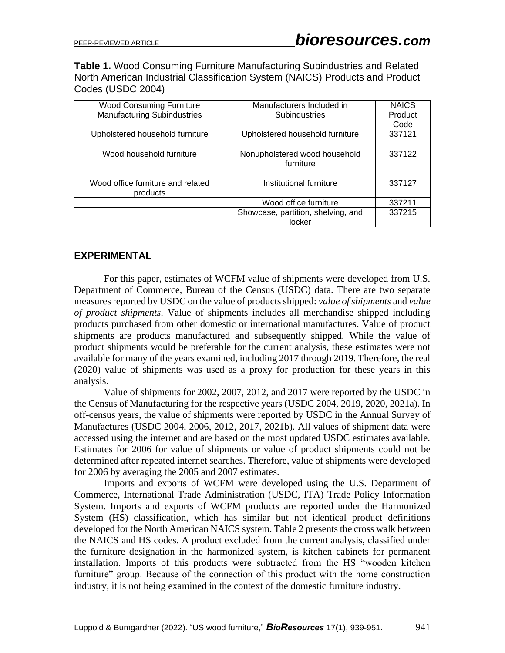**Table 1.** Wood Consuming Furniture Manufacturing Subindustries and Related North American Industrial Classification System (NAICS) Products and Product Codes (USDC 2004)

| <b>Wood Consuming Furniture</b><br><b>Manufacturing Subindustries</b> | Manufacturers Included in<br>Subindustries   | <b>NAICS</b><br>Product |
|-----------------------------------------------------------------------|----------------------------------------------|-------------------------|
|                                                                       |                                              | Code                    |
| Upholstered household furniture                                       | Upholstered household furniture              | 337121                  |
|                                                                       |                                              |                         |
| Wood household furniture                                              | Nonupholstered wood household<br>furniture   | 337122                  |
|                                                                       |                                              |                         |
| Wood office furniture and related<br>products                         | Institutional furniture                      | 337127                  |
|                                                                       | Wood office furniture                        | 337211                  |
|                                                                       | Showcase, partition, shelving, and<br>locker | 337215                  |

# **EXPERIMENTAL**

For this paper, estimates of WCFM value of shipments were developed from U.S. Department of Commerce, Bureau of the Census (USDC) data. There are two separate measures reported by USDC on the value of products shipped: *value of shipments* and *value of product shipments*. Value of shipments includes all merchandise shipped including products purchased from other domestic or international manufactures. Value of product shipments are products manufactured and subsequently shipped. While the value of product shipments would be preferable for the current analysis, these estimates were not available for many of the years examined, including 2017 through 2019. Therefore, the real (2020) value of shipments was used as a proxy for production for these years in this analysis.

Value of shipments for 2002, 2007, 2012, and 2017 were reported by the USDC in the Census of Manufacturing for the respective years (USDC 2004, 2019, 2020, 2021a). In off-census years, the value of shipments were reported by USDC in the Annual Survey of Manufactures (USDC 2004, 2006, 2012, 2017, 2021b). All values of shipment data were accessed using the internet and are based on the most updated USDC estimates available. Estimates for 2006 for value of shipments or value of product shipments could not be determined after repeated internet searches. Therefore, value of shipments were developed for 2006 by averaging the 2005 and 2007 estimates.

Imports and exports of WCFM were developed using the U.S. Department of Commerce, International Trade Administration (USDC, ITA) Trade Policy Information System. Imports and exports of WCFM products are reported under the Harmonized System (HS) classification, which has similar but not identical product definitions developed for the North American NAICS system. Table 2 presents the cross walk between the NAICS and HS codes. A product excluded from the current analysis, classified under the furniture designation in the harmonized system, is kitchen cabinets for permanent installation. Imports of this products were subtracted from the HS "wooden kitchen furniture" group. Because of the connection of this product with the home construction industry, it is not being examined in the context of the domestic furniture industry.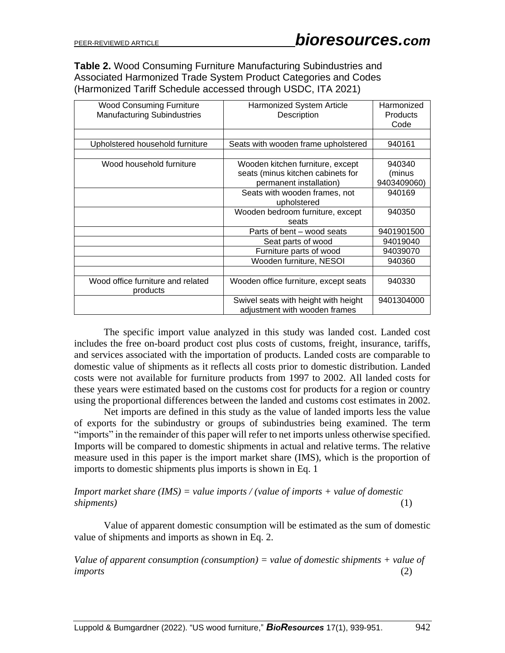**Table 2.** Wood Consuming Furniture Manufacturing Subindustries and Associated Harmonized Trade System Product Categories and Codes (Harmonized Tariff Schedule accessed through USDC, ITA 2021)

| <b>Wood Consuming Furniture</b><br><b>Manufacturing Subindustries</b> | Harmonized System Article<br>Description                              | Harmonized<br>Products<br>Code |
|-----------------------------------------------------------------------|-----------------------------------------------------------------------|--------------------------------|
|                                                                       |                                                                       |                                |
| Upholstered household furniture                                       | Seats with wooden frame upholstered                                   | 940161                         |
|                                                                       |                                                                       |                                |
| Wood household furniture                                              | Wooden kitchen furniture, except                                      | 940340                         |
|                                                                       | seats (minus kitchen cabinets for                                     | (minus                         |
|                                                                       | permanent installation)                                               | 9403409060)                    |
|                                                                       | Seats with wooden frames, not                                         | 940169                         |
|                                                                       | upholstered                                                           |                                |
|                                                                       | Wooden bedroom furniture, except                                      | 940350                         |
|                                                                       | seats                                                                 |                                |
|                                                                       | Parts of bent – wood seats                                            | 9401901500                     |
|                                                                       | Seat parts of wood                                                    | 94019040                       |
|                                                                       | Furniture parts of wood                                               | 94039070                       |
|                                                                       | Wooden furniture, NESOI                                               | 940360                         |
|                                                                       |                                                                       |                                |
| Wood office furniture and related<br>products                         | Wooden office furniture, except seats                                 | 940330                         |
|                                                                       | Swivel seats with height with height<br>adjustment with wooden frames | 9401304000                     |

The specific import value analyzed in this study was landed cost. Landed cost includes the free on-board product cost plus costs of customs, freight, insurance, tariffs, and services associated with the importation of products. Landed costs are comparable to domestic value of shipments as it reflects all costs prior to domestic distribution. Landed costs were not available for furniture products from 1997 to 2002. All landed costs for these years were estimated based on the customs cost for products for a region or country using the proportional differences between the landed and customs cost estimates in 2002.

Net imports are defined in this study as the value of landed imports less the value of exports for the subindustry or groups of subindustries being examined. The term "imports" in the remainder of this paper will refer to net imports unless otherwise specified. Imports will be compared to domestic shipments in actual and relative terms. The relative measure used in this paper is the import market share (IMS), which is the proportion of imports to domestic shipments plus imports is shown in Eq. 1

#### *Import market share (IMS) = value imports / (value of imports + value of domestic shipments)* (1)

Value of apparent domestic consumption will be estimated as the sum of domestic value of shipments and imports as shown in Eq. 2.

*Value of apparent consumption (consumption) = value of domestic shipments + value of imports* (2)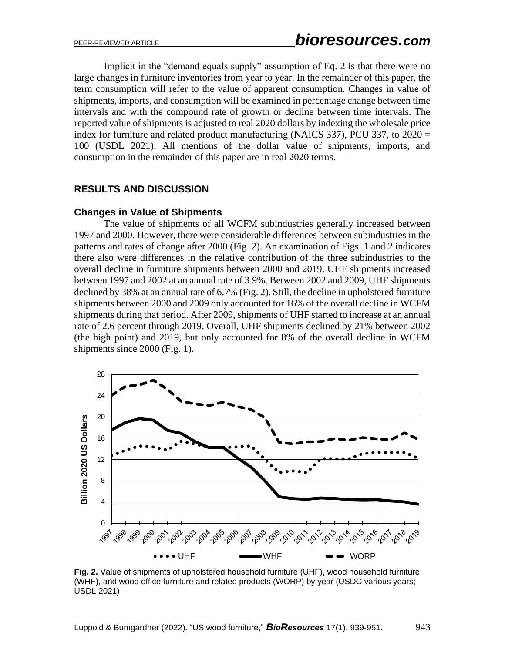Implicit in the "demand equals supply" assumption of Eq. 2 is that there were no large changes in furniture inventories from year to year. In the remainder of this paper, the term consumption will refer to the value of apparent consumption. Changes in value of shipments, imports, and consumption will be examined in percentage change between time intervals and with the compound rate of growth or decline between time intervals. The reported value of shipments is adjusted to real 2020 dollars by indexing the wholesale price index for furniture and related product manufacturing (NAICS 337), PCU 337, to 2020 = 100 (USDL 2021). All mentions of the dollar value of shipments, imports, and consumption in the remainder of this paper are in real 2020 terms.

## **RESULTS AND DISCUSSION**

#### **Changes in Value of Shipments**

The value of shipments of all WCFM subindustries generally increased between 1997 and 2000. However, there were considerable differences between subindustries in the patterns and rates of change after 2000 (Fig. 2). An examination of Figs. 1 and 2 indicates there also were differences in the relative contribution of the three subindustries to the overall decline in furniture shipments between 2000 and 2019. UHF shipments increased between 1997 and 2002 at an annual rate of 3.9%. Between 2002 and 2009, UHF shipments declined by 38% at an annual rate of 6.7% (Fig. 2). Still, the decline in upholstered furniture shipments between 2000 and 2009 only accounted for 16% of the overall decline in WCFM shipments during that period. After 2009, shipments of UHF started to increase at an annual rate of 2.6 percent through 2019. Overall, UHF shipments declined by 21% between 2002 (the high point) and 2019, but only accounted for 8% of the overall decline in WCFM shipments since 2000 (Fig. 1).



**Fig. 2.** Value of shipments of upholstered household furniture (UHF), wood household furniture (WHF), and wood office furniture and related products (WORP) by year (USDC various years; USDL 2021)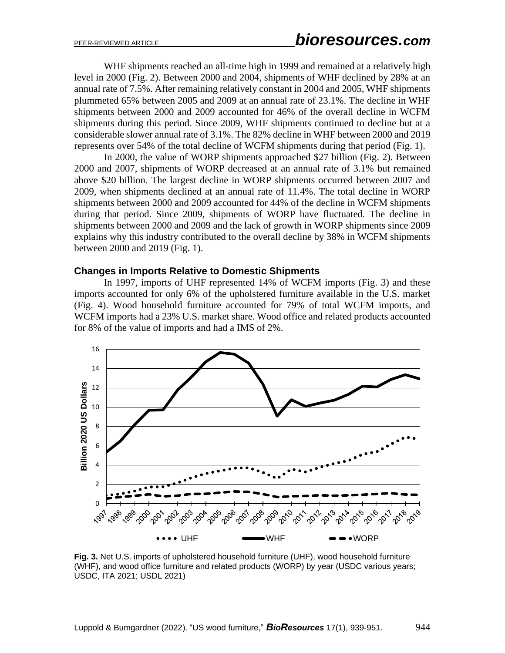WHF shipments reached an all-time high in 1999 and remained at a relatively high level in 2000 (Fig. 2). Between 2000 and 2004, shipments of WHF declined by 28% at an annual rate of 7.5%. After remaining relatively constant in 2004 and 2005, WHF shipments plummeted 65% between 2005 and 2009 at an annual rate of 23.1%. The decline in WHF shipments between 2000 and 2009 accounted for 46% of the overall decline in WCFM shipments during this period. Since 2009, WHF shipments continued to decline but at a considerable slower annual rate of 3.1%. The 82% decline in WHF between 2000 and 2019 represents over 54% of the total decline of WCFM shipments during that period (Fig. 1).

In 2000, the value of WORP shipments approached \$27 billion (Fig. 2). Between 2000 and 2007, shipments of WORP decreased at an annual rate of 3.1% but remained above \$20 billion. The largest decline in WORP shipments occurred between 2007 and 2009, when shipments declined at an annual rate of 11.4%. The total decline in WORP shipments between 2000 and 2009 accounted for 44% of the decline in WCFM shipments during that period. Since 2009, shipments of WORP have fluctuated. The decline in shipments between 2000 and 2009 and the lack of growth in WORP shipments since 2009 explains why this industry contributed to the overall decline by 38% in WCFM shipments between 2000 and 2019 (Fig. 1).

#### **Changes in Imports Relative to Domestic Shipments**

In 1997, imports of UHF represented 14% of WCFM imports (Fig. 3) and these imports accounted for only 6% of the upholstered furniture available in the U.S. market (Fig. 4). Wood household furniture accounted for 79% of total WCFM imports, and WCFM imports had a 23% U.S. market share. Wood office and related products accounted for 8% of the value of imports and had a IMS of 2%.



**Fig. 3.** Net U.S. imports of upholstered household furniture (UHF), wood household furniture (WHF), and wood office furniture and related products (WORP) by year (USDC various years; USDC, ITA 2021; USDL 2021)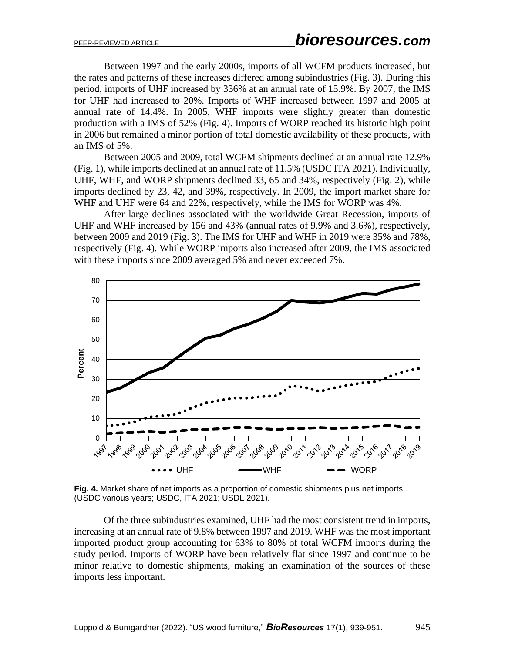Between 1997 and the early 2000s, imports of all WCFM products increased, but the rates and patterns of these increases differed among subindustries (Fig. 3). During this period, imports of UHF increased by 336% at an annual rate of 15.9%. By 2007, the IMS for UHF had increased to 20%. Imports of WHF increased between 1997 and 2005 at annual rate of 14.4%. In 2005, WHF imports were slightly greater than domestic production with a IMS of 52% (Fig. 4). Imports of WORP reached its historic high point in 2006 but remained a minor portion of total domestic availability of these products, with an IMS of 5%.

Between 2005 and 2009, total WCFM shipments declined at an annual rate 12.9% (Fig. 1), while imports declined at an annual rate of 11.5% (USDC ITA 2021). Individually, UHF, WHF, and WORP shipments declined 33, 65 and 34%, respectively (Fig. 2), while imports declined by 23, 42, and 39%, respectively. In 2009, the import market share for WHF and UHF were 64 and 22%, respectively, while the IMS for WORP was 4%.

After large declines associated with the worldwide Great Recession, imports of UHF and WHF increased by 156 and 43% (annual rates of 9.9% and 3.6%), respectively, between 2009 and 2019 (Fig. 3). The IMS for UHF and WHF in 2019 were 35% and 78%, respectively (Fig. 4). While WORP imports also increased after 2009, the IMS associated with these imports since 2009 averaged 5% and never exceeded 7%.



**Fig. 4.** Market share of net imports as a proportion of domestic shipments plus net imports (USDC various years; USDC, ITA 2021; USDL 2021).

Of the three subindustries examined, UHF had the most consistent trend in imports, increasing at an annual rate of 9.8% between 1997 and 2019. WHF was the most important imported product group accounting for 63% to 80% of total WCFM imports during the study period. Imports of WORP have been relatively flat since 1997 and continue to be minor relative to domestic shipments, making an examination of the sources of these imports less important.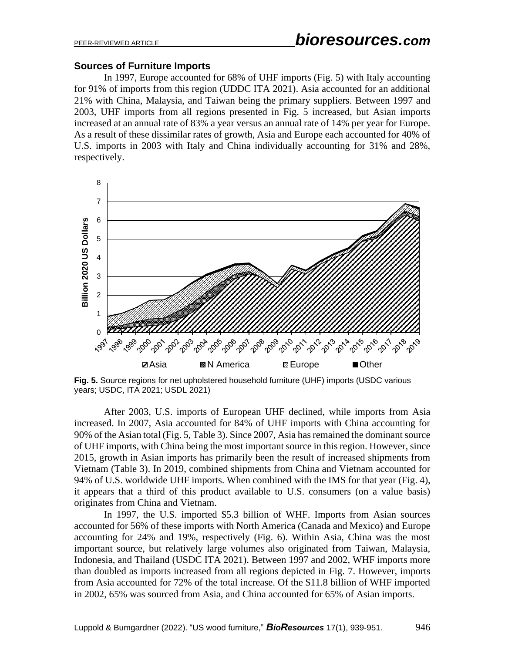#### **Sources of Furniture Imports**

In 1997, Europe accounted for 68% of UHF imports (Fig. 5) with Italy accounting for 91% of imports from this region (UDDC ITA 2021). Asia accounted for an additional 21% with China, Malaysia, and Taiwan being the primary suppliers. Between 1997 and 2003, UHF imports from all regions presented in Fig. 5 increased, but Asian imports increased at an annual rate of 83% a year versus an annual rate of 14% per year for Europe. As a result of these dissimilar rates of growth, Asia and Europe each accounted for 40% of U.S. imports in 2003 with Italy and China individually accounting for 31% and 28%, respectively.



**Fig. 5.** Source regions for net upholstered household furniture (UHF) imports (USDC various years; USDC, ITA 2021; USDL 2021)

After 2003, U.S. imports of European UHF declined, while imports from Asia increased. In 2007, Asia accounted for 84% of UHF imports with China accounting for 90% of the Asian total (Fig. 5, Table 3). Since 2007, Asia has remained the dominant source of UHF imports, with China being the most important source in this region. However, since 2015, growth in Asian imports has primarily been the result of increased shipments from Vietnam (Table 3). In 2019, combined shipments from China and Vietnam accounted for 94% of U.S. worldwide UHF imports. When combined with the IMS for that year (Fig. 4), it appears that a third of this product available to U.S. consumers (on a value basis) originates from China and Vietnam.

In 1997, the U.S. imported \$5.3 billion of WHF. Imports from Asian sources accounted for 56% of these imports with North America (Canada and Mexico) and Europe accounting for 24% and 19%, respectively (Fig. 6). Within Asia, China was the most important source, but relatively large volumes also originated from Taiwan, Malaysia, Indonesia, and Thailand (USDC ITA 2021). Between 1997 and 2002, WHF imports more than doubled as imports increased from all regions depicted in Fig. 7. However, imports from Asia accounted for 72% of the total increase. Of the \$11.8 billion of WHF imported in 2002, 65% was sourced from Asia, and China accounted for 65% of Asian imports.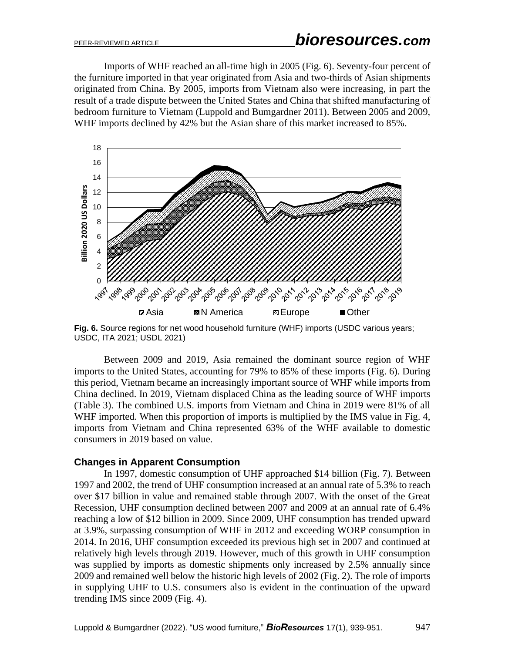Imports of WHF reached an all-time high in 2005 (Fig. 6). Seventy-four percent of the furniture imported in that year originated from Asia and two-thirds of Asian shipments originated from China. By 2005, imports from Vietnam also were increasing, in part the result of a trade dispute between the United States and China that shifted manufacturing of bedroom furniture to Vietnam (Luppold and Bumgardner 2011). Between 2005 and 2009, WHF imports declined by 42% but the Asian share of this market increased to 85%.



**Fig. 6.** Source regions for net wood household furniture (WHF) imports (USDC various years; USDC, ITA 2021; USDL 2021)

Between 2009 and 2019, Asia remained the dominant source region of WHF imports to the United States, accounting for 79% to 85% of these imports (Fig. 6). During this period, Vietnam became an increasingly important source of WHF while imports from China declined. In 2019, Vietnam displaced China as the leading source of WHF imports (Table 3). The combined U.S. imports from Vietnam and China in 2019 were 81% of all WHF imported. When this proportion of imports is multiplied by the IMS value in Fig. 4, imports from Vietnam and China represented 63% of the WHF available to domestic consumers in 2019 based on value.

#### **Changes in Apparent Consumption**

In 1997, domestic consumption of UHF approached \$14 billion (Fig. 7). Between 1997 and 2002, the trend of UHF consumption increased at an annual rate of 5.3% to reach over \$17 billion in value and remained stable through 2007. With the onset of the Great Recession, UHF consumption declined between 2007 and 2009 at an annual rate of 6.4% reaching a low of \$12 billion in 2009. Since 2009, UHF consumption has trended upward at 3.9%, surpassing consumption of WHF in 2012 and exceeding WORP consumption in 2014. In 2016, UHF consumption exceeded its previous high set in 2007 and continued at relatively high levels through 2019. However, much of this growth in UHF consumption was supplied by imports as domestic shipments only increased by 2.5% annually since 2009 and remained well below the historic high levels of 2002 (Fig. 2). The role of imports in supplying UHF to U.S. consumers also is evident in the continuation of the upward trending IMS since 2009 (Fig. 4).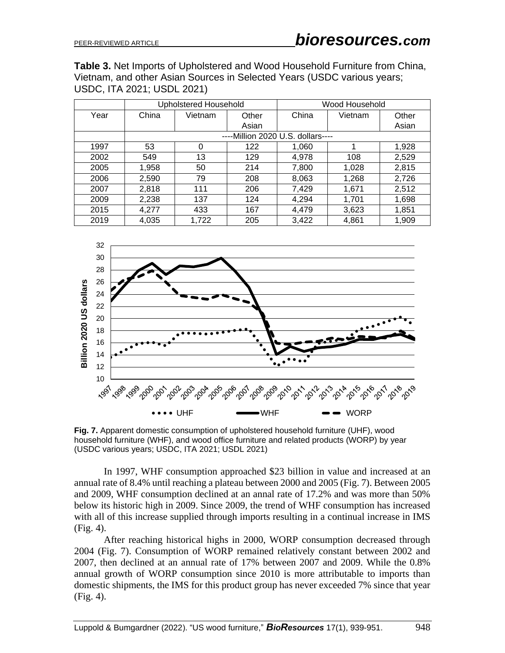**Table 3.** Net Imports of Upholstered and Wood Household Furniture from China, Vietnam, and other Asian Sources in Selected Years (USDC various years; USDC, ITA 2021; USDL 2021)

|      | <b>Upholstered Household</b>      |         | Wood Household |       |         |       |  |
|------|-----------------------------------|---------|----------------|-------|---------|-------|--|
| Year | China                             | Vietnam | Other          | China | Vietnam | Other |  |
|      |                                   |         | Asian          |       |         | Asian |  |
|      | ----Million 2020 U.S. dollars---- |         |                |       |         |       |  |
| 1997 | 53                                | 0       | 122            | 1,060 |         | 1,928 |  |
| 2002 | 549                               | 13      | 129            | 4,978 | 108     | 2,529 |  |
| 2005 | 1,958                             | 50      | 214            | 7,800 | 1,028   | 2,815 |  |
| 2006 | 2,590                             | 79      | 208            | 8,063 | 1,268   | 2,726 |  |
| 2007 | 2,818                             | 111     | 206            | 7,429 | 1,671   | 2,512 |  |
| 2009 | 2,238                             | 137     | 124            | 4,294 | 1,701   | 1,698 |  |
| 2015 | 4,277                             | 433     | 167            | 4,479 | 3,623   | 1,851 |  |
| 2019 | 4,035                             | 1,722   | 205            | 3,422 | 4,861   | 1,909 |  |



**Fig. 7.** Apparent domestic consumption of upholstered household furniture (UHF), wood household furniture (WHF), and wood office furniture and related products (WORP) by year (USDC various years; USDC, ITA 2021; USDL 2021)

In 1997, WHF consumption approached \$23 billion in value and increased at an annual rate of 8.4% until reaching a plateau between 2000 and 2005 (Fig. 7). Between 2005 and 2009, WHF consumption declined at an annal rate of 17.2% and was more than 50% below its historic high in 2009. Since 2009, the trend of WHF consumption has increased with all of this increase supplied through imports resulting in a continual increase in IMS (Fig. 4).

After reaching historical highs in 2000, WORP consumption decreased through 2004 (Fig. 7). Consumption of WORP remained relatively constant between 2002 and 2007, then declined at an annual rate of 17% between 2007 and 2009. While the 0.8% annual growth of WORP consumption since 2010 is more attributable to imports than domestic shipments, the IMS for this product group has never exceeded 7% since that year (Fig. 4).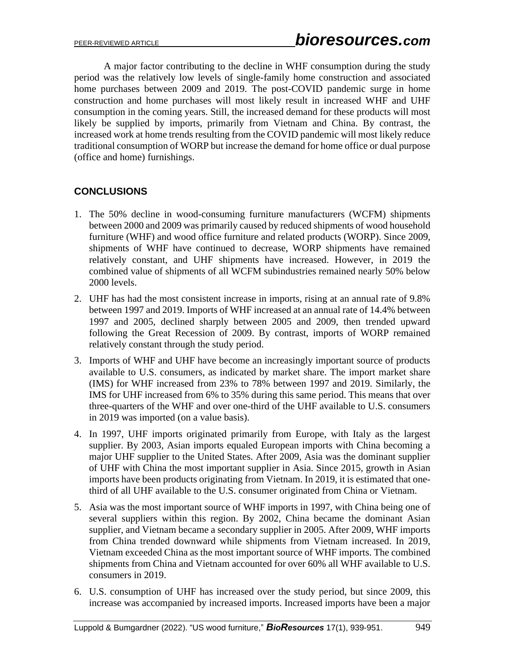A major factor contributing to the decline in WHF consumption during the study period was the relatively low levels of single-family home construction and associated home purchases between 2009 and 2019. The post-COVID pandemic surge in home construction and home purchases will most likely result in increased WHF and UHF consumption in the coming years. Still, the increased demand for these products will most likely be supplied by imports, primarily from Vietnam and China. By contrast, the increased work at home trends resulting from the COVID pandemic will most likely reduce traditional consumption of WORP but increase the demand for home office or dual purpose (office and home) furnishings.

# **CONCLUSIONS**

- 1. The 50% decline in wood-consuming furniture manufacturers (WCFM) shipments between 2000 and 2009 was primarily caused by reduced shipments of wood household furniture (WHF) and wood office furniture and related products (WORP). Since 2009, shipments of WHF have continued to decrease, WORP shipments have remained relatively constant, and UHF shipments have increased. However, in 2019 the combined value of shipments of all WCFM subindustries remained nearly 50% below 2000 levels.
- 2. UHF has had the most consistent increase in imports, rising at an annual rate of 9.8% between 1997 and 2019. Imports of WHF increased at an annual rate of 14.4% between 1997 and 2005, declined sharply between 2005 and 2009, then trended upward following the Great Recession of 2009. By contrast, imports of WORP remained relatively constant through the study period.
- 3. Imports of WHF and UHF have become an increasingly important source of products available to U.S. consumers, as indicated by market share. The import market share (IMS) for WHF increased from 23% to 78% between 1997 and 2019. Similarly, the IMS for UHF increased from 6% to 35% during this same period. This means that over three-quarters of the WHF and over one-third of the UHF available to U.S. consumers in 2019 was imported (on a value basis).
- 4. In 1997, UHF imports originated primarily from Europe, with Italy as the largest supplier. By 2003, Asian imports equaled European imports with China becoming a major UHF supplier to the United States. After 2009, Asia was the dominant supplier of UHF with China the most important supplier in Asia. Since 2015, growth in Asian imports have been products originating from Vietnam. In 2019, it is estimated that onethird of all UHF available to the U.S. consumer originated from China or Vietnam.
- 5. Asia was the most important source of WHF imports in 1997, with China being one of several suppliers within this region. By 2002, China became the dominant Asian supplier, and Vietnam became a secondary supplier in 2005. After 2009, WHF imports from China trended downward while shipments from Vietnam increased. In 2019, Vietnam exceeded China as the most important source of WHF imports. The combined shipments from China and Vietnam accounted for over 60% all WHF available to U.S. consumers in 2019.
- 6. U.S. consumption of UHF has increased over the study period, but since 2009, this increase was accompanied by increased imports. Increased imports have been a major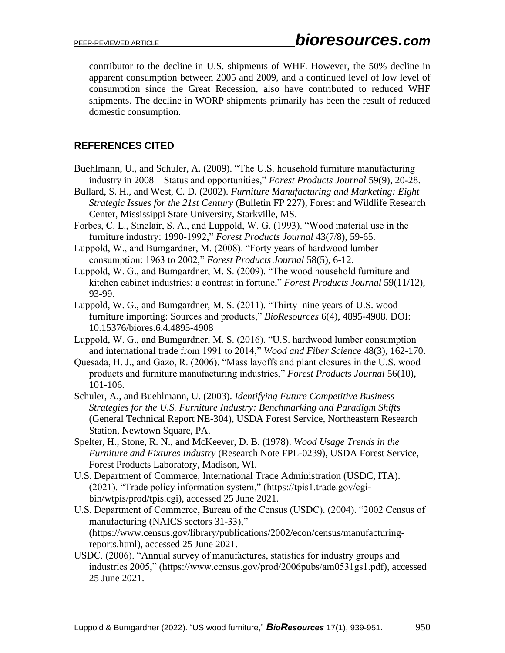contributor to the decline in U.S. shipments of WHF. However, the 50% decline in apparent consumption between 2005 and 2009, and a continued level of low level of consumption since the Great Recession, also have contributed to reduced WHF shipments. The decline in WORP shipments primarily has been the result of reduced domestic consumption.

# **REFERENCES CITED**

- Buehlmann, U., and Schuler, A. (2009). "The U.S. household furniture manufacturing industry in 2008 – Status and opportunities," *Forest Products Journal* 59(9), 20-28.
- Bullard, S. H., and West, C. D. (2002). *Furniture Manufacturing and Marketing: Eight Strategic Issues for the 21st Century* (Bulletin FP 227), Forest and Wildlife Research Center, Mississippi State University, Starkville, MS.
- Forbes, C. L., Sinclair, S. A., and Luppold, W. G. (1993). "Wood material use in the furniture industry: 1990-1992," *Forest Products Journal* 43(7/8), 59-65.
- Luppold, W., and Bumgardner, M. (2008). "Forty years of hardwood lumber consumption: 1963 to 2002," *Forest Products Journal* 58(5), 6-12.
- Luppold, W. G., and Bumgardner, M. S. (2009). "The wood household furniture and kitchen cabinet industries: a contrast in fortune," *Forest Products Journal* 59(11/12), 93-99.
- Luppold, W. G., and Bumgardner, M. S. (2011). "Thirty–nine years of U.S. wood furniture importing: Sources and products," *BioResources* 6(4), 4895-4908. DOI: 10.15376/biores.6.4.4895-4908
- Luppold, W. G., and Bumgardner, M. S. (2016). "U.S. hardwood lumber consumption and international trade from 1991 to 2014," *Wood and Fiber Science* 48(3), 162-170.
- Quesada, H. J., and Gazo, R. (2006). "Mass layoffs and plant closures in the U.S. wood products and furniture manufacturing industries," *Forest Products Journal* 56(10), 101-106.
- Schuler, A., and Buehlmann, U. (2003). *Identifying Future Competitive Business Strategies for the U.S. Furniture Industry: Benchmarking and Paradigm Shifts* (General Technical Report NE-304), USDA Forest Service, Northeastern Research Station, Newtown Square, PA.
- Spelter, H., Stone, R. N., and McKeever, D. B. (1978). *Wood Usage Trends in the Furniture and Fixtures Industry* (Research Note FPL-0239), USDA Forest Service, Forest Products Laboratory, Madison, WI.
- U.S. Department of Commerce, International Trade Administration (USDC, ITA). (2021). "Trade policy information system," (https://tpis1.trade.gov/cgibin/wtpis/prod/tpis.cgi), accessed 25 June 2021.
- U.S. Department of Commerce, Bureau of the Census (USDC). (2004). "2002 Census of manufacturing (NAICS sectors 31-33)," (https://www.census.gov/library/publications/2002/econ/census/manufacturingreports.html), accessed 25 June 2021.
- USDC. (2006). "Annual survey of manufactures, statistics for industry groups and industries 2005," (https://www.census.gov/prod/2006pubs/am0531gs1.pdf), accessed 25 June 2021.